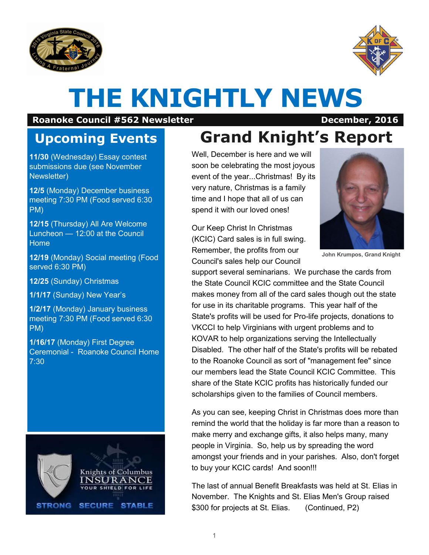



# **THE KNIGHTLY NEWS**

#### **Roanoke Council #562 Newsletter December, 2016**

### **Upcoming Events**

**11/30** (Wednesday) Essay contest submissions due (see November Newsletter)

**12/5** (Monday) December business meeting 7:30 PM (Food served 6:30 PM)

**12/15** (Thursday) All Are Welcome Luncheon — 12:00 at the Council Home

**12/19** (Monday) Social meeting (Food served 6:30 PM)

**12/25** (Sunday) Christmas

**1/1/17** (Sunday) New Year's

**1/2/17** (Monday) January business meeting 7:30 PM (Food served 6:30 PM)

**1/16/17** (Monday) First Degree Ceremonial - Roanoke Council Home 7:30



# **Grand Knight's Report**

Well, December is here and we will soon be celebrating the most joyous event of the year...Christmas! By its very nature, Christmas is a family time and I hope that all of us can spend it with our loved ones!

Our Keep Christ In Christmas (KCIC) Card sales is in full swing. Remember, the profits from our Council's sales help our Council



**John Krumpos, Grand Knight**

support several seminarians. We purchase the cards from the State Council KCIC committee and the State Council makes money from all of the card sales though out the state for use in its charitable programs. This year half of the State's profits will be used for Pro-life projects, donations to VKCCI to help Virginians with urgent problems and to KOVAR to help organizations serving the Intellectually Disabled. The other half of the State's profits will be rebated to the Roanoke Council as sort of "management fee" since our members lead the State Council KCIC Committee. This share of the State KCIC profits has historically funded our scholarships given to the families of Council members.

As you can see, keeping Christ in Christmas does more than remind the world that the holiday is far more than a reason to make merry and exchange gifts, it also helps many, many people in Virginia. So, help us by spreading the word amongst your friends and in your parishes. Also, don't forget to buy your KCIC cards! And soon!!!

The last of annual Benefit Breakfasts was held at St. Elias in November. The Knights and St. Elias Men's Group raised \$300 for projects at St. Elias. (Continued, P2)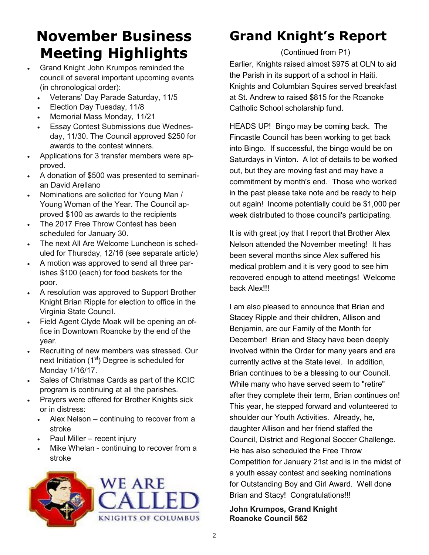## **November Business Meeting Highlights**

- Grand Knight John Krumpos reminded the council of several important upcoming events (in chronological order):
	- Veterans' Day Parade Saturday, 11/5
	- Election Day Tuesday, 11/8
	- Memorial Mass Monday, 11/21
	- Essay Contest Submissions due Wednesday, 11/30. The Council approved \$250 for awards to the contest winners.
- Applications for 3 transfer members were approved.
- A donation of \$500 was presented to seminarian David Arellano
- Nominations are solicited for Young Man / Young Woman of the Year. The Council approved \$100 as awards to the recipients
- The 2017 Free Throw Contest has been scheduled for January 30.
- The next All Are Welcome Luncheon is scheduled for Thursday, 12/16 (see separate article)
- A motion was approved to send all three parishes \$100 (each) for food baskets for the poor.
- A resolution was approved to Support Brother Knight Brian Ripple for election to office in the Virginia State Council.
- Field Agent Clyde Moak will be opening an office in Downtown Roanoke by the end of the year.
- Recruiting of new members was stressed. Our next Initiation  $(1<sup>st</sup>)$  Degree is scheduled for Monday 1/16/17.
- Sales of Christmas Cards as part of the KCIC program is continuing at all the parishes.
- Prayers were offered for Brother Knights sick or in distress:
	- Alex Nelson continuing to recover from a stroke
	- Paul Miller recent injury
	- Mike Whelan continuing to recover from a stroke



### **Grand Knight's Report**

(Continued from P1)

Earlier, Knights raised almost \$975 at OLN to aid the Parish in its support of a school in Haiti. Knights and Columbian Squires served breakfast at St. Andrew to raised \$815 for the Roanoke Catholic School scholarship fund.

HEADS UP! Bingo may be coming back. The Fincastle Council has been working to get back into Bingo. If successful, the bingo would be on Saturdays in Vinton. A lot of details to be worked out, but they are moving fast and may have a commitment by month's end. Those who worked in the past please take note and be ready to help out again! Income potentially could be \$1,000 per week distributed to those council's participating.

It is with great joy that I report that Brother Alex Nelson attended the November meeting! It has been several months since Alex suffered his medical problem and it is very good to see him recovered enough to attend meetings! Welcome back Alex!!!

I am also pleased to announce that Brian and Stacey Ripple and their children, Allison and Benjamin, are our Family of the Month for December! Brian and Stacy have been deeply involved within the Order for many years and are currently active at the State level. In addition, Brian continues to be a blessing to our Council. While many who have served seem to "retire" after they complete their term, Brian continues on! This year, he stepped forward and volunteered to shoulder our Youth Activities. Already, he, daughter Allison and her friend staffed the Council, District and Regional Soccer Challenge. He has also scheduled the Free Throw Competition for January 21st and is in the midst of a youth essay contest and seeking nominations for Outstanding Boy and Girl Award. Well done Brian and Stacy! Congratulations!!!

#### **John Krumpos, Grand Knight Roanoke Council 562**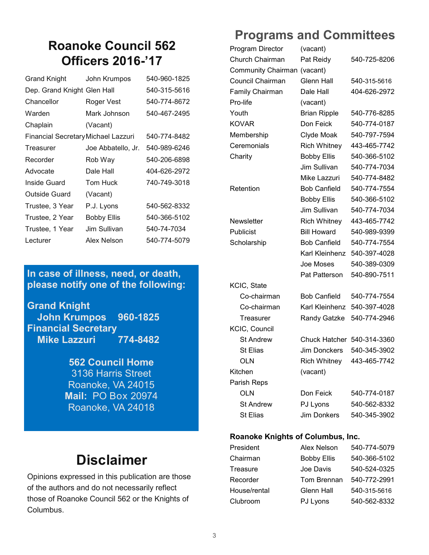#### **Roanoke Council 562 Officers 2016-'17**

| <b>Grand Knight</b>                 | John Krumpos       | 540-960-1825 |
|-------------------------------------|--------------------|--------------|
| Dep. Grand Knight Glen Hall         |                    | 540-315-5616 |
| Chancellor                          | Roger Vest         | 540-774-8672 |
| Warden                              | Mark Johnson       | 540-467-2495 |
| Chaplain                            | (Vacant)           |              |
| Financial Secretary Michael Lazzuri |                    | 540-774-8482 |
| Treasurer                           | Joe Abbatello, Jr. | 540-989-6246 |
| Recorder                            | Rob Way            | 540-206-6898 |
| Advocate                            | Dale Hall          | 404-626-2972 |
| Inside Guard                        | Tom Huck           | 740-749-3018 |
| Outside Guard                       | (Vacant)           |              |
| Trustee, 3 Year                     | P.J. Lyons         | 540-562-8332 |
| Trustee, 2 Year                     | <b>Bobby Ellis</b> | 540-366-5102 |
| Trustee, 1 Year                     | Jim Sullivan       | 540-74-7034  |
| Lecturer                            | Alex Nelson        | 540-774-5079 |

#### **In case of illness, need, or death, please notify one of the following:**

**Grand Knight John Krumpos 960-1825 Financial Secretary Mike Lazzuri 774-8482**

> **562 Council Home**  3136 Harris Street Roanoke, VA 24015 **Mail:** PO Box 20974 Roanoke, VA 24018

### **Disclaimer**

Opinions expressed in this publication are those of the authors and do not necessarily reflect those of Roanoke Council 562 or the Knights of Columbus.

#### **Programs and Committees**

| Program Director          | (vacant)             |              |
|---------------------------|----------------------|--------------|
| Church Chairman           | Pat Reidy            | 540-725-8206 |
| <b>Community Chairman</b> | (vacant)             |              |
| Council Chairman          | <b>Glenn Hall</b>    | 540-315-5616 |
| <b>Family Chairman</b>    | Dale Hall            | 404-626-2972 |
| Pro-life                  | (vacant)             |              |
| Youth                     | <b>Brian Ripple</b>  | 540-776-8285 |
| <b>KOVAR</b>              | Don Feick            | 540-774-0187 |
| Membership                | Clyde Moak           | 540-797-7594 |
| Ceremonials               | <b>Rich Whitney</b>  | 443-465-7742 |
| Charity                   | <b>Bobby Ellis</b>   | 540-366-5102 |
|                           | Jim Sullivan         | 540-774-7034 |
|                           | Mike Lazzuri         | 540-774-8482 |
| Retention                 | <b>Bob Canfield</b>  | 540-774-7554 |
|                           | <b>Bobby Ellis</b>   | 540-366-5102 |
|                           | Jim Sullivan         | 540-774-7034 |
| Newsletter                | <b>Rich Whitney</b>  | 443-465-7742 |
| Publicist                 | <b>Bill Howard</b>   | 540-989-9399 |
| Scholarship               | <b>Bob Canfield</b>  | 540-774-7554 |
|                           | Karl Kleinhenz       | 540-397-4028 |
|                           | Joe Moses            | 540-389-0309 |
|                           | <b>Pat Patterson</b> | 540-890-7511 |
| KCIC, State               |                      |              |
| Co-chairman               | <b>Bob Canfield</b>  | 540-774-7554 |
| Co-chairman               | Karl Kleinhenz       | 540-397-4028 |
| Treasurer                 | <b>Randy Gatzke</b>  | 540-774-2946 |
| <b>KCIC, Council</b>      |                      |              |
| <b>St Andrew</b>          | <b>Chuck Hatcher</b> | 540-314-3360 |
| St Elias                  | Jim Donckers         | 540-345-3902 |
| <b>OLN</b>                | Rich Whitney         | 443-465-7742 |
| Kitchen                   | (vacant)             |              |
| Parish Reps               |                      |              |
| OLN                       | Don Feick            | 540-774-0187 |
| <b>St Andrew</b>          | PJ Lyons             | 540-562-8332 |
| <b>St Elias</b>           | Jim Donkers          | 540-345-3902 |

#### **Roanoke Knights of Columbus, Inc.**

| President    | Alex Nelson        | 540-774-5079 |
|--------------|--------------------|--------------|
| Chairman     | <b>Bobby Ellis</b> | 540-366-5102 |
| Treasure     | Joe Davis          | 540-524-0325 |
| Recorder     | Tom Brennan        | 540-772-2991 |
| House/rental | Glenn Hall         | 540-315-5616 |
| Clubroom     | PJ Lyons           | 540-562-8332 |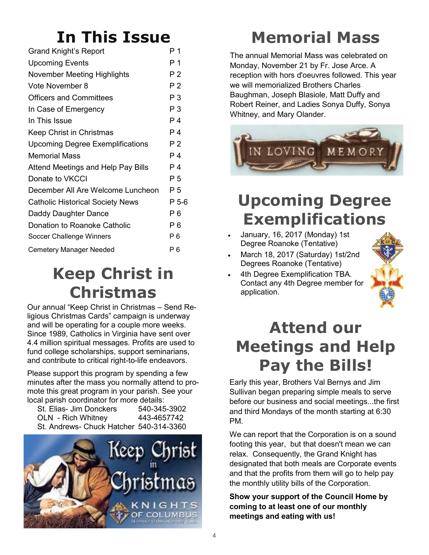# **In This Issue**

| Grand Knight's Report                     | Ρ1             |
|-------------------------------------------|----------------|
| <b>Upcoming Events</b>                    | P 1            |
| <b>November Meeting Highlights</b>        | P 2            |
| Vote November 8                           | P 2            |
| <b>Officers and Committees</b>            | P <sub>3</sub> |
| In Case of Emergency                      | P <sub>3</sub> |
| In This Issue                             | P 4            |
| Keep Christ in Christmas                  | P 4            |
| <b>Upcoming Degree Exemplifications</b>   | P <sub>2</sub> |
| <b>Memorial Mass</b>                      | P 4            |
| <b>Attend Meetings and Help Pay Bills</b> | Ρ4             |
| Donate to VKCCI                           | P 5            |
| December All Are Welcome Luncheon         | P 5            |
| <b>Catholic Historical Society News</b>   | P 5-6          |
| Daddy Daughter Dance                      | P 6            |
| Donation to Roanoke Catholic              | P 6            |
| Soccer Challenge Winners                  | P 6            |
| <b>Cemetery Manager Needed</b>            | Р6             |

# **Keep Christ in Christmas**

Our annual "Keep Christ in Christmas – Send Religious Christmas Cards" campaign is underway and will be operating for a couple more weeks. Since 1989, Catholics in Virginia have sent over 4.4 million spiritual messages. Profits are used to fund college scholarships, support seminarians, and contribute to critical right-to-life endeavors.

Please support this program by spending a few minutes after the mass you normally attend to promote this great program in your parish. See your local parish coordinator for more details:

St. Elias- Jim Donckers 540-345-3902 OLN - Rich Whitney 443-4657742 St. Andrews- Chuck Hatcher 540-314-3360



# **Memorial Mass**

The annual Memorial Mass was celebrated on Monday, November 21 by Fr. Jose Arce. A reception with hors d'oeuvres followed. This year we will memorialized Brothers Charles Baughman, Joseph Blasiole, Matt Duffy and Robert Reiner, and Ladies Sonya Duffy, Sonya Whitney, and Mary Olander.



# **Upcoming Degree Exemplifications**

- January, 16, 2017 (Monday) 1st Degree Roanoke (Tentative)
- March 18, 2017 (Saturday) 1st/2nd Degrees Roanoke (Tentative)
- 4th Degree Exemplification TBA. Contact any 4th Degree member for application.



# **Attend our Meetings and Help Pay the Bills!**

Early this year, Brothers Val Bernys and Jim Sullivan began preparing simple meals to serve before our business and social meetings...the first and third Mondays of the month starting at 6:30 PM.

We can report that the Corporation is on a sound footing this year, but that doesn't mean we can relax. Consequently, the Grand Knight has designated that both meals are Corporate events and that the profits from them will go to help pay the monthly utility bills of the Corporation.

**Show your support of the Council Home by coming to at least one of our monthly meetings and eating with us!**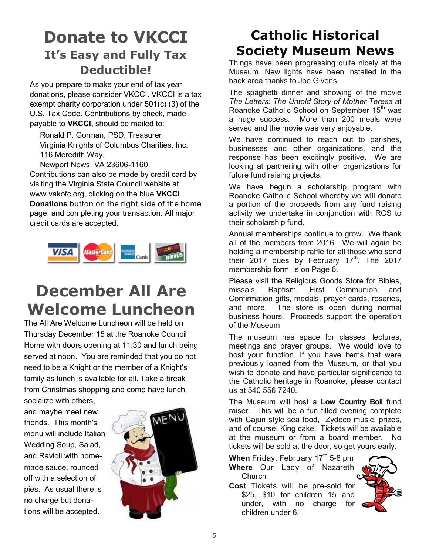#### **Donate to VKCCI It's Easy and Fully Tax Deductible!**

As you prepare to make your end of tax year donations, please consider VKCCI. VKCCI is a tax exempt charity corporation under 501(c) (3) of the U.S. Tax Code. Contributions by check, made payable to **VKCCI,** should be mailed to:

Ronald P. Gorman, PSD, Treasurer Virginia Knights of Columbus Charities, Inc. 116 Meredith Way,

Newport News, VA 23606-1160.

Contributions can also be made by credit card by visiting the Virginia State Council website at www.vakofc.org, clicking on the blue **VKCCI Donations** button on the right side of the home page, and completing your transaction. All major credit cards are accepted.



# **December All Are Welcome Luncheon**

The All Are Welcome Luncheon will be held on Thursday December 15 at the Roanoke Council Home with doors opening at 11:30 and lunch being served at noon. You are reminded that you do not need to be a Knight or the member of a Knight's family as lunch is available for all. Take a break from Christmas shopping and come have lunch,

socialize with others, and maybe meet new friends. This month's menu will include Italian Wedding Soup, Salad, and Ravioli with homemade sauce, rounded off with a selection of pies. As usual there is no charge but donations will be accepted.



### **Catholic Historical Society Museum News**

Things have been progressing quite nicely at the Museum. New lights have been installed in the back area thanks to Joe Givens

The spaghetti dinner and showing of the movie *The Letters: The Untold Story of Mother Teresa* at Roanoke Catholic School on September 15<sup>th</sup> was a huge success. More than 200 meals were served and the movie was very enjoyable.

We have continued to reach out to parishes, businesses and other organizations, and the response has been excitingly positive. We are looking at partnering with other organizations for future fund raising projects.

We have begun a scholarship program with Roanoke Catholic School whereby we will donate a portion of the proceeds from any fund raising activity we undertake in conjunction with RCS to their scholarship fund.

Annual memberships continue to grow. We thank all of the members from 2016. We will again be holding a membership raffle for all those who send their  $2017$  dues by February 17<sup>th</sup>. The 2017 membership form is on Page 6.

Please visit the Religious Goods Store for Bibles, missals, Baptism, First Communion and Confirmation gifts, medals, prayer cards, rosaries, and more. The store is open during normal business hours. Proceeds support the operation of the Museum

The museum has space for classes, lectures, meetings and prayer groups. We would love to host your function. If you have items that were previously loaned from the Museum, or that you wish to donate and have particular significance to the Catholic heritage in Roanoke, please contact us at 540 556 7240.

The Museum will host a **Low Country Boil** fund raiser. This will be a fun filled evening complete with Cajun style sea food, Zydeco music, prizes, and of course, King cake. Tickets will be available at the museum or from a board member. No tickets will be sold at the door, so get yours early.

**When** Friday, February 17<sup>th</sup> 5-8 pm **Where** Our Lady of Nazareth **Church** 

**Cost** Tickets will be pre-sold for \$25, \$10 for children 15 and under, with no charge for children under 6.